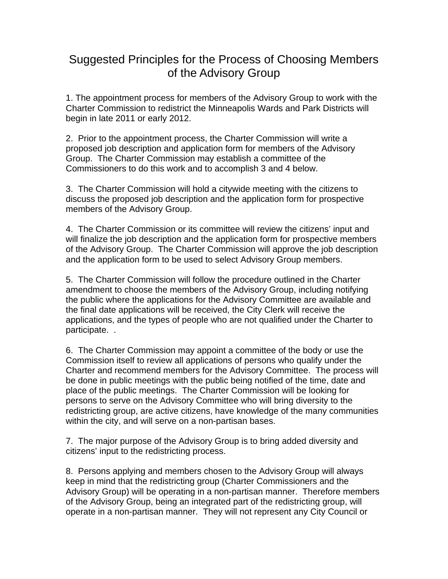## Suggested Principles for the Process of Choosing Members of the Advisory Group

1. The appointment process for members of the Advisory Group to work with the Charter Commission to redistrict the Minneapolis Wards and Park Districts will begin in late 2011 or early 2012.

2. Prior to the appointment process, the Charter Commission will write a proposed job description and application form for members of the Advisory Group. The Charter Commission may establish a committee of the Commissioners to do this work and to accomplish 3 and 4 below.

3. The Charter Commission will hold a citywide meeting with the citizens to discuss the proposed job description and the application form for prospective members of the Advisory Group.

4. The Charter Commission or its committee will review the citizens' input and will finalize the job description and the application form for prospective members of the Advisory Group. The Charter Commission will approve the job description and the application form to be used to select Advisory Group members.

5. The Charter Commission will follow the procedure outlined in the Charter amendment to choose the members of the Advisory Group, including notifying the public where the applications for the Advisory Committee are available and the final date applications will be received, the City Clerk will receive the applications, and the types of people who are not qualified under the Charter to participate. .

6. The Charter Commission may appoint a committee of the body or use the Commission itself to review all applications of persons who qualify under the Charter and recommend members for the Advisory Committee. The process will be done in public meetings with the public being notified of the time, date and place of the public meetings. The Charter Commission will be looking for persons to serve on the Advisory Committee who will bring diversity to the redistricting group, are active citizens, have knowledge of the many communities within the city, and will serve on a non-partisan bases.

7. The major purpose of the Advisory Group is to bring added diversity and citizens' input to the redistricting process.

8. Persons applying and members chosen to the Advisory Group will always keep in mind that the redistricting group (Charter Commissioners and the Advisory Group) will be operating in a non-partisan manner. Therefore members of the Advisory Group, being an integrated part of the redistricting group, will operate in a non-partisan manner. They will not represent any City Council or